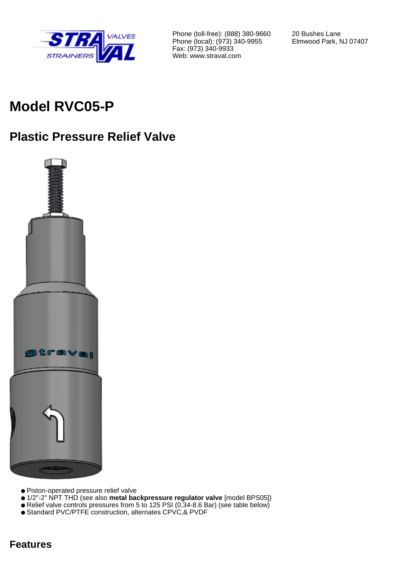

Phone (toll-free): (888) 380-9660 Phone (local): (973) 340-9955 Fax: (973) 340-9933 Web: www.straval.com

20 Bushes Lane Elmwood Park, NJ 07407

# **Model RVC05-P**

## **Plastic Pressure Relief Valve**



- Piston-operated pressure relief valve
- 1/2"-2" NPT THD (see also **metal backpressure regulator valve** [model BPS05])
- Relief valve controls pressures from 5 to 125 PSI (0.34-8.6 Bar) (see table below)
- Standard PVC/PTFE construction, alternates CPVC,& PVDF

### **Features**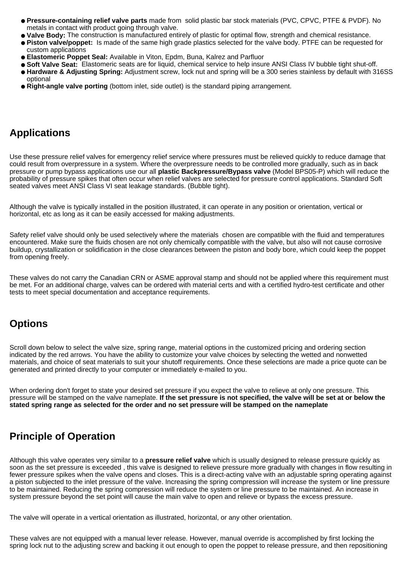- **Pressure-containing relief valve parts** made from solid plastic bar stock materials (PVC, CPVC, PTFE & PVDF). No metals in contact with product going through valve.
- **Valve Body:** The construction is manufactured entirely of plastic for optimal flow, strength and chemical resistance.
- **Piston valve/poppet:** Is made of the same high grade plastics selected for the valve body. PTFE can be requested for custom applications
- **Elastomeric Poppet Seal:** Available in Viton, Epdm, Buna, Kalrez and Parfluor
- **Soft Valve Seat:** Elastomeric seats are for liquid, chemical service to help insure ANSI Class IV bubble tight shut-off.
- **Hardware & Adjusting Spring:** Adjustment screw, lock nut and spring will be a 300 series stainless by default with 316SS optional
- **Right-angle valve porting** (bottom inlet, side outlet) is the standard piping arrangement.

### **Applications**

Use these pressure relief valves for emergency relief service where pressures must be relieved quickly to reduce damage that could result from overpressure in a system. Where the overpressure needs to be controlled more gradually, such as in back pressure or pump bypass applications use our all **plastic Backpressure/Bypass valve** (Model BPS05-P) which will reduce the probability of pressure spikes that often occur when relief valves are selected for pressure control applications. Standard Soft seated valves meet ANSI Class VI seat leakage standards. (Bubble tight).

Although the valve is typically installed in the position illustrated, it can operate in any position or orientation, vertical or horizontal, etc as long as it can be easily accessed for making adjustments.

Safety relief valve should only be used selectively where the materials chosen are compatible with the fluid and temperatures encountered. Make sure the fluids chosen are not only chemically compatible with the valve, but also will not cause corrosive buildup, crystallization or solidification in the close clearances between the piston and body bore, which could keep the poppet from opening freely.

These valves do not carry the Canadian CRN or ASME approval stamp and should not be applied where this requirement must be met. For an additional charge, valves can be ordered with material certs and with a certified hydro-test certificate and other tests to meet special documentation and acceptance requirements.

## **Options**

Scroll down below to select the valve size, spring range, material options in the customized pricing and ordering section indicated by the red arrows. You have the ability to customize your valve choices by selecting the wetted and nonwetted materials, and choice of seat materials to suit your shutoff requirements. Once these selections are made a price quote can be generated and printed directly to your computer or immediately e-mailed to you.

When ordering don't forget to state your desired set pressure if you expect the valve to relieve at only one pressure. This pressure will be stamped on the valve nameplate. **If the set pressure is not specified, the valve will be set at or below the stated spring range as selected for the order and no set pressure will be stamped on the nameplate**

## **Principle of Operation**

Although this valve operates very similar to a **pressure relief valve** which is usually designed to release pressure quickly as soon as the set pressure is exceeded , this valve is designed to relieve pressure more gradually with changes in flow resulting in fewer pressure spikes when the valve opens and closes. This is a direct-acting valve with an adjustable spring operating against a piston subjected to the inlet pressure of the valve. Increasing the spring compression will increase the system or line pressure to be maintained. Reducing the spring compression will reduce the system or line pressure to be maintained. An increase in system pressure beyond the set point will cause the main valve to open and relieve or bypass the excess pressure.

The valve will operate in a vertical orientation as illustrated, horizontal, or any other orientation.

These valves are not equipped with a manual lever release. However, manual override is accomplished by first locking the spring lock nut to the adjusting screw and backing it out enough to open the poppet to release pressure, and then repositioning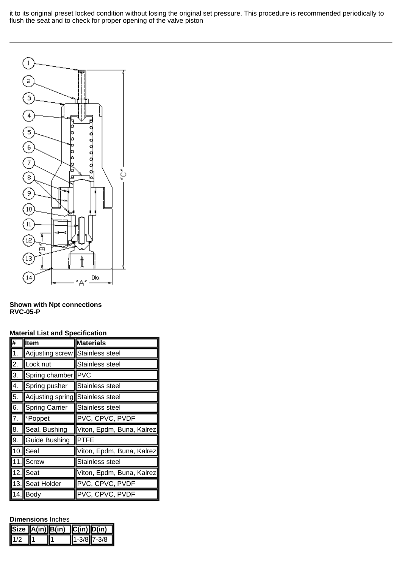it to its original preset locked condition without losing the original set pressure. This procedure is recommended periodically to flush the seat and to check for proper opening of the valve piston



#### **Shown with Npt connections RVC-05-P**

|                  | naterial List and Opecnication  |                           |  |  |  |  |  |
|------------------|---------------------------------|---------------------------|--|--|--|--|--|
| #                | <b>Item</b>                     | <b>Materials</b>          |  |  |  |  |  |
| $\overline{1}$ . | Adjusting screw Stainless steel |                           |  |  |  |  |  |
| $\overline{2}$ . | Lock nut                        | Stainless steel           |  |  |  |  |  |
| 3.               | Spring chamber                  | <b>PVC</b>                |  |  |  |  |  |
| 4.               | Spring pusher                   | Stainless steel           |  |  |  |  |  |
| 5.               | Adjusting spring                | Stainless steel           |  |  |  |  |  |
| $\overline{6}$ . | <b>Spring Carrier</b>           | Stainless steel           |  |  |  |  |  |
| 7.               | *Poppet                         | PVC, CPVC, PVDF           |  |  |  |  |  |
| $\overline{8}$ . | Seal, Bushing                   | Viton, Epdm, Buna, Kalrez |  |  |  |  |  |
| 9.               | <b>Guide Bushing</b>            | <b>PTFE</b>               |  |  |  |  |  |
| 10.              | Seal                            | Viton, Epdm, Buna, Kalrez |  |  |  |  |  |
|                  | 11. Screw                       | Stainless steel           |  |  |  |  |  |
| $\overline{1}2.$ | Seat                            | Viton, Epdm, Buna, Kalrez |  |  |  |  |  |
|                  | 13. Seat Holder                 | PVC, CPVC, PVDF           |  |  |  |  |  |
|                  | $14.$ Body                      | PVC, CPVC, PVDF           |  |  |  |  |  |

#### **Material List and Specification**

#### **Dimensions** Inches

|     | $ \text{Size } A(in) B(in)$ $ C(in) D(in) $ |                 |
|-----|---------------------------------------------|-----------------|
| 1/2 |                                             | $1 - 3/8$ 7-3/8 |